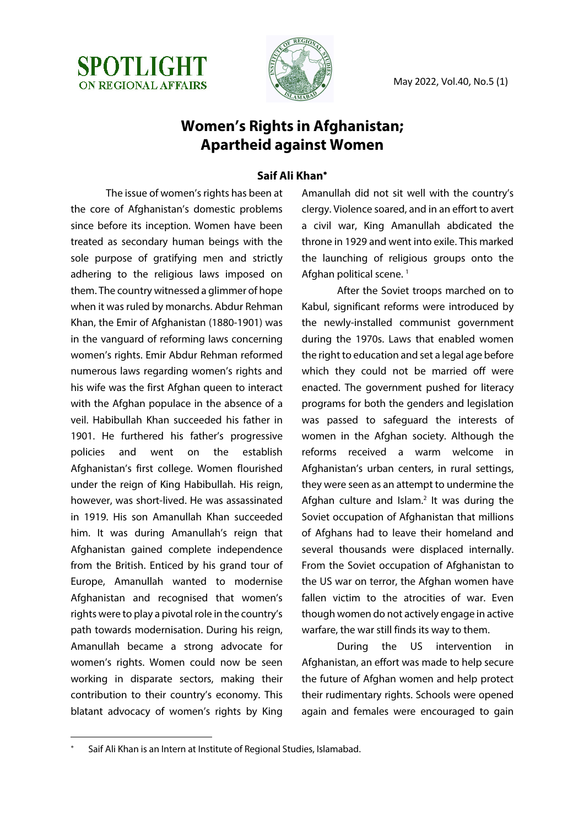



## **Women's Rights in Afghanistan; Apartheid against Women**

## **Saif Ali Khan**\*

The issue of women's rights has been at the core of Afghanistan's domestic problems since before its inception. Women have been treated as secondary human beings with the sole purpose of gratifying men and strictly adhering to the religious laws imposed on them. The country witnessed a glimmer of hope when it was ruled by monarchs. Abdur Rehman Khan, the Emir of Afghanistan (1880-1901) was in the vanguard of reforming laws concerning women's rights. Emir Abdur Rehman reformed numerous laws regarding women's rights and his wife was the first Afghan queen to interact with the Afghan populace in the absence of a veil. Habibullah Khan succeeded his father in 1901. He furthered his father's progressive policies and went on the establish Afghanistan's first college. Women flourished under the reign of King Habibullah. His reign, however, was short-lived. He was assassinated in 1919. His son Amanullah Khan succeeded him. It was during Amanullah's reign that Afghanistan gained complete independence from the British. Enticed by his grand tour of Europe, Amanullah wanted to modernise Afghanistan and recognised that women's rights were to play a pivotal role in the country's path towards modernisation. During his reign, Amanullah became a strong advocate for women's rights. Women could now be seen working in disparate sectors, making their contribution to their country's economy. This blatant advocacy of women's rights by King Amanullah did not sit well with the country's clergy. Violence soared, and in an effort to avert a civil war, King Amanullah abdicated the throne in 1929 and went into exile. This marked the launching of religious groups onto the Afghan political scene.<sup>1</sup>

After the Soviet troops marched on to Kabul, significant reforms were introduced by the newly-installed communist government during the 1970s. Laws that enabled women the right to education and set a legal age before which they could not be married off were enacted. The government pushed for literacy programs for both the genders and legislation was passed to safeguard the interests of women in the Afghan society. Although the reforms received a warm welcome in Afghanistan's urban centers, in rural settings, they were seen as an attempt to undermine the Afghan culture and Islam. $2$  It was during the Soviet occupation of Afghanistan that millions of Afghans had to leave their homeland and several thousands were displaced internally. From the Soviet occupation of Afghanistan to the US war on terror, the Afghan women have fallen victim to the atrocities of war. Even though women do not actively engage in active warfare, the war still finds its way to them.

During the US intervention in Afghanistan, an effort was made to help secure the future of Afghan women and help protect their rudimentary rights. Schools were opened again and females were encouraged to gain

Saif Ali Khan is an Intern at Institute of Regional Studies, Islamabad.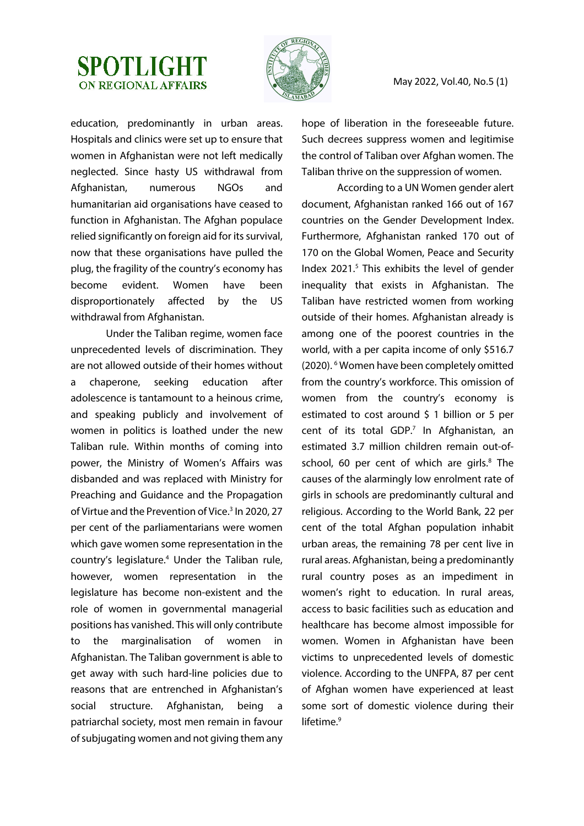## **SPOTLIGHT ON REGIONAL AFFAIRS**



May 2022, Vol.40, No.5 (1)

education, predominantly in urban areas. Hospitals and clinics were set up to ensure that women in Afghanistan were not left medically neglected. Since hasty US withdrawal from Afghanistan, numerous NGOs and humanitarian aid organisations have ceased to function in Afghanistan. The Afghan populace relied significantly on foreign aid for its survival, now that these organisations have pulled the plug, the fragility of the country's economy has become evident. Women have been disproportionately affected by the US withdrawal from Afghanistan.

Under the Taliban regime, women face unprecedented levels of discrimination. They are not allowed outside of their homes without a chaperone, seeking education after adolescence is tantamount to a heinous crime, and speaking publicly and involvement of women in politics is loathed under the new Taliban rule. Within months of coming into power, the Ministry of Women's Affairs was disbanded and was replaced with Ministry for Preaching and Guidance and the Propagation of Virtue and the Prevention of Vice.<sup>3</sup> In 2020, 27 per cent of the parliamentarians were women which gave women some representation in the country's legislature.4 Under the Taliban rule, however, women representation in the legislature has become non-existent and the role of women in governmental managerial positions has vanished. This will only contribute to the marginalisation of women in Afghanistan. The Taliban government is able to get away with such hard-line policies due to reasons that are entrenched in Afghanistan's social structure. Afghanistan, being a patriarchal society, most men remain in favour of subjugating women and not giving them any

hope of liberation in the foreseeable future. Such decrees suppress women and legitimise the control of Taliban over Afghan women. The Taliban thrive on the suppression of women.

According to a UN Women gender alert document, Afghanistan ranked 166 out of 167 countries on the Gender Development Index. Furthermore, Afghanistan ranked 170 out of 170 on the Global Women, Peace and Security Index 2021.<sup>5</sup> This exhibits the level of gender inequality that exists in Afghanistan. The Taliban have restricted women from working outside of their homes. Afghanistan already is among one of the poorest countries in the world, with a per capita income of only \$516.7 (2020). 6 Women have been completely omitted from the country's workforce. This omission of women from the country's economy is estimated to cost around \$ 1 billion or 5 per cent of its total GDP.<sup>7</sup> In Afghanistan, an estimated 3.7 million children remain out-ofschool, 60 per cent of which are girls.<sup>8</sup> The causes of the alarmingly low enrolment rate of girls in schools are predominantly cultural and religious. According to the World Bank, 22 per cent of the total Afghan population inhabit urban areas, the remaining 78 per cent live in rural areas. Afghanistan, being a predominantly rural country poses as an impediment in women's right to education. In rural areas, access to basic facilities such as education and healthcare has become almost impossible for women. Women in Afghanistan have been victims to unprecedented levels of domestic violence. According to the UNFPA, 87 per cent of Afghan women have experienced at least some sort of domestic violence during their lifetime.<sup>9</sup>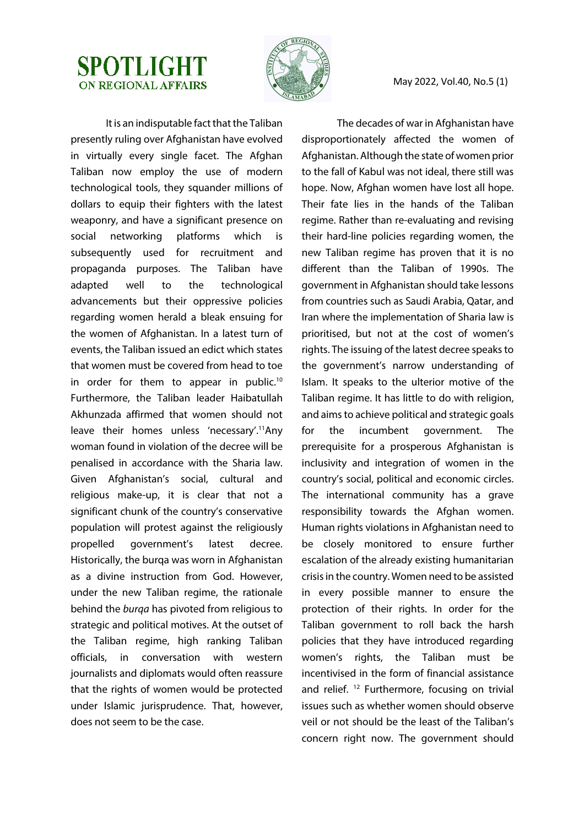



It is an indisputable fact that the Taliban presently ruling over Afghanistan have evolved in virtually every single facet. The Afghan Taliban now employ the use of modern technological tools, they squander millions of dollars to equip their fighters with the latest weaponry, and have a significant presence on social networking platforms which is subsequently used for recruitment and propaganda purposes. The Taliban have adapted well to the technological advancements but their oppressive policies regarding women herald a bleak ensuing for the women of Afghanistan. In a latest turn of events, the Taliban issued an edict which states that women must be covered from head to toe in order for them to appear in public.<sup>10</sup> Furthermore, the Taliban leader Haibatullah Akhunzada affirmed that women should not leave their homes unless 'necessary'.<sup>11</sup>Any woman found in violation of the decree will be penalised in accordance with the Sharia law. Given Afghanistan's social, cultural and religious make-up, it is clear that not a significant chunk of the country's conservative population will protest against the religiously propelled government's latest decree. Historically, the burqa was worn in Afghanistan as a divine instruction from God. However, under the new Taliban regime, the rationale behind the *burqa* has pivoted from religious to strategic and political motives. At the outset of the Taliban regime, high ranking Taliban officials, in conversation with western journalists and diplomats would often reassure that the rights of women would be protected under Islamic jurisprudence. That, however, does not seem to be the case.

The decades of war in Afghanistan have disproportionately affected the women of Afghanistan. Although the state of women prior to the fall of Kabul was not ideal, there still was hope. Now, Afghan women have lost all hope. Their fate lies in the hands of the Taliban regime. Rather than re-evaluating and revising their hard-line policies regarding women, the new Taliban regime has proven that it is no different than the Taliban of 1990s. The government in Afghanistan should take lessons from countries such as Saudi Arabia, Qatar, and Iran where the implementation of Sharia law is prioritised, but not at the cost of women's rights. The issuing of the latest decree speaks to the government's narrow understanding of Islam. It speaks to the ulterior motive of the Taliban regime. It has little to do with religion, and aims to achieve political and strategic goals for the incumbent government. The prerequisite for a prosperous Afghanistan is inclusivity and integration of women in the country's social, political and economic circles. The international community has a grave responsibility towards the Afghan women. Human rights violations in Afghanistan need to be closely monitored to ensure further escalation of the already existing humanitarian crisis in the country. Women need to be assisted in every possible manner to ensure the protection of their rights. In order for the Taliban government to roll back the harsh policies that they have introduced regarding women's rights, the Taliban must be incentivised in the form of financial assistance and relief. <sup>12</sup> Furthermore, focusing on trivial issues such as whether women should observe veil or not should be the least of the Taliban's concern right now. The government should